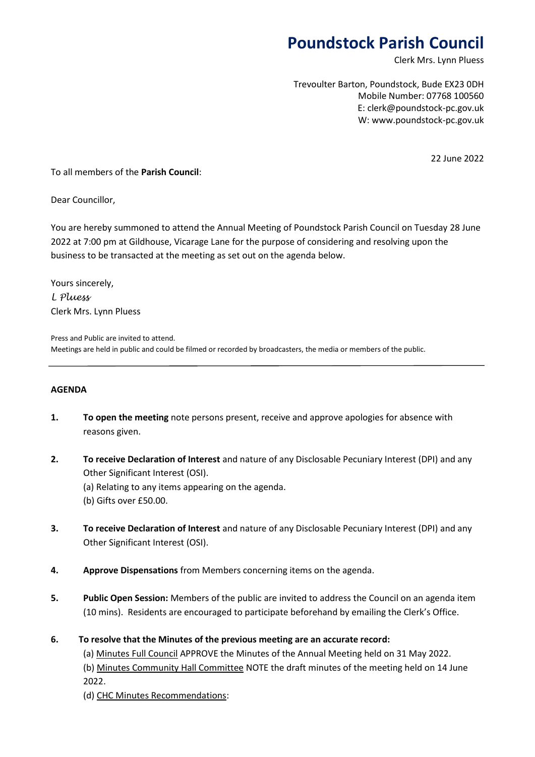# **Poundstock Parish Council**

Clerk Mrs. Lynn Pluess

Trevoulter Barton, Poundstock, Bude EX23 0DH Mobile Number: 07768 100560 E: clerk@poundstock-pc.gov.uk W: www.poundstock-pc.gov.uk

22 June 2022

To all members of the **Parish Council**:

Dear Councillor,

You are hereby summoned to attend the Annual Meeting of Poundstock Parish Council on Tuesday 28 June 2022 at 7:00 pm at Gildhouse, Vicarage Lane for the purpose of considering and resolving upon the business to be transacted at the meeting as set out on the agenda below.

Yours sincerely, *L Pluess* Clerk Mrs. Lynn Pluess

Press and Public are invited to attend. Meetings are held in public and could be filmed or recorded by broadcasters, the media or members of the public.

#### **AGENDA**

- **1. To open the meeting** note persons present, receive and approve apologies for absence with reasons given.
- **2. To receive Declaration of Interest** and nature of any Disclosable Pecuniary Interest (DPI) and any Other Significant Interest (OSI).
	- (a) Relating to any items appearing on the agenda.
	- (b) Gifts over £50.00.
- **3. To receive Declaration of Interest** and nature of any Disclosable Pecuniary Interest (DPI) and any Other Significant Interest (OSI).
- **4. Approve Dispensations** from Members concerning items on the agenda.
- **5. Public Open Session:** Members of the public are invited to address the Council on an agenda item (10 mins). Residents are encouraged to participate beforehand by emailing the Clerk's Office.
- **6. To resolve that the Minutes of the previous meeting are an accurate record:**

(a) Minutes Full Council APPROVE the Minutes of the Annual Meeting held on 31 May 2022. (b) Minutes Community Hall Committee NOTE the draft minutes of the meeting held on 14 June 2022.

(d) CHC Minutes Recommendations: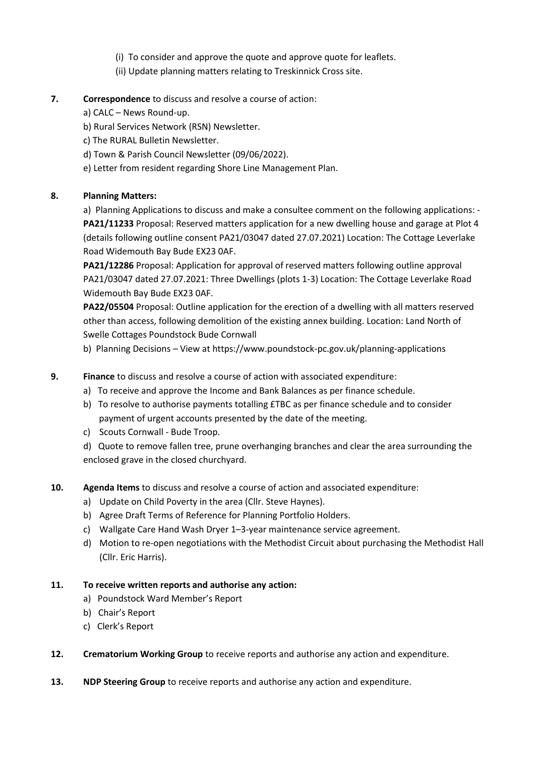- (i) To consider and approve the quote and approve quote for leaflets.
- (ii) Update planning matters relating to Treskinnick Cross site.
- **7. Correspondence** to discuss and resolve a course of action:
	- a) CALC News Round-up.
	- b) Rural Services Network (RSN) Newsletter.
	- c) The RURAL Bulletin Newsletter.
	- d) Town & Parish Council Newsletter (09/06/2022).
	- e) Letter from resident regarding Shore Line Management Plan.

# **8. Planning Matters:**

a) Planning Applications to discuss and make a consultee comment on the following applications: - **PA21/11233** Proposal: Reserved matters application for a new dwelling house and garage at Plot 4 (details following outline consent PA21/03047 dated 27.07.2021) Location: The Cottage Leverlake Road Widemouth Bay Bude EX23 0AF.

**PA21/12286** Proposal: Application for approval of reserved matters following outline approval PA21/03047 dated 27.07.2021: Three Dwellings (plots 1-3) Location: The Cottage Leverlake Road Widemouth Bay Bude EX23 0AF.

**PA22/05504** Proposal: Outline application for the erection of a dwelling with all matters reserved other than access, following demolition of the existing annex building. Location: Land North of Swelle Cottages Poundstock Bude Cornwall

b) Planning Decisions – View at https://www.poundstock-pc.gov.uk/planning-applications

- **9. Finance** to discuss and resolve a course of action with associated expenditure:
	- a) To receive and approve the Income and Bank Balances as per finance schedule.
	- b) To resolve to authorise payments totalling £TBC as per finance schedule and to consider payment of urgent accounts presented by the date of the meeting.
	- c) Scouts Cornwall Bude Troop.

d) Quote to remove fallen tree, prune overhanging branches and clear the area surrounding the enclosed grave in the closed churchyard.

# **10. Agenda Items** to discuss and resolve a course of action and associated expenditure:

- a) Update on Child Poverty in the area (Cllr. Steve Haynes).
- b) Agree Draft Terms of Reference for Planning Portfolio Holders.
- c) Wallgate Care Hand Wash Dryer 1–3-year maintenance service agreement.
- d) Motion to re-open negotiations with the Methodist Circuit about purchasing the Methodist Hall (Cllr. Eric Harris).

# **11. To receive written reports and authorise any action:**

- a) Poundstock Ward Member's Report
- b) Chair's Report
- c) Clerk's Report
- **12. Crematorium Working Group** to receive reports and authorise any action and expenditure.
- **13. NDP Steering Group** to receive reports and authorise any action and expenditure.